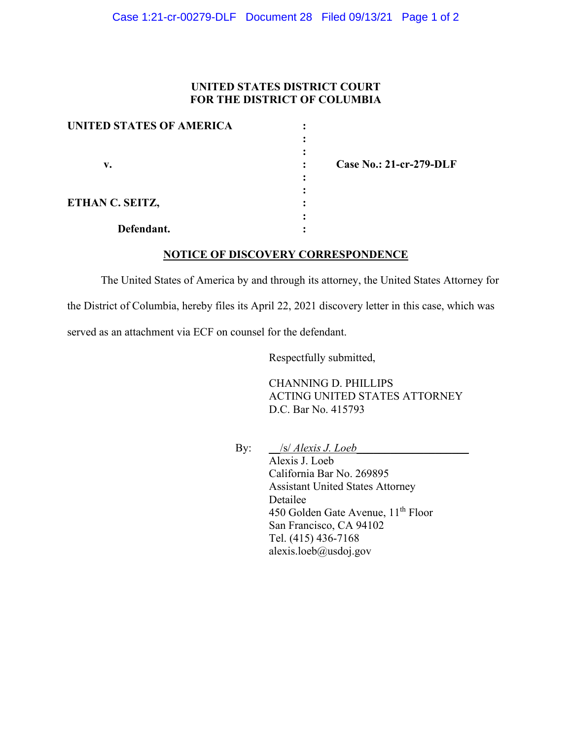## **UNITED STATES DISTRICT COURT FOR THE DISTRICT OF COLUMBIA**

| <b>UNITED STATES OF AMERICA</b> |  |
|---------------------------------|--|
|                                 |  |
|                                 |  |
| v.                              |  |
|                                 |  |
|                                 |  |
| ETHAN C. SEITZ,                 |  |
|                                 |  |
| Defendant.                      |  |

 **v. : Case No.: 21-cr-279-DLF**

## **NOTICE OF DISCOVERY CORRESPONDENCE**

The United States of America by and through its attorney, the United States Attorney for the District of Columbia, hereby files its April 22, 2021 discovery letter in this case, which was served as an attachment via ECF on counsel for the defendant.

Respectfully submitted,

CHANNING D. PHILLIPS ACTING UNITED STATES ATTORNEY D.C. Bar No. 415793

By: <u>\_\_/s/ *Alexis J. Loeb\_\_\_\_\_\_\_\_\_\_\_\_\_\_\_\_\_\_\_*</u>

Alexis J. Loeb California Bar No. 269895 Assistant United States Attorney Detailee 450 Golden Gate Avenue, 11<sup>th</sup> Floor San Francisco, CA 94102 Tel. (415) 436-7168 alexis.loeb@usdoj.gov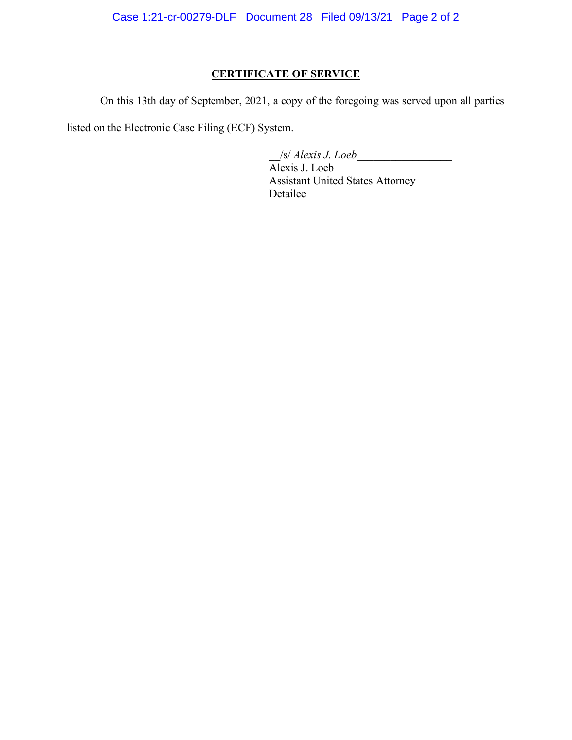Case 1:21-cr-00279-DLF Document 28 Filed 09/13/21 Page 2 of 2

## **CERTIFICATE OF SERVICE**

On this 13th day of September, 2021, a copy of the foregoing was served upon all parties

listed on the Electronic Case Filing (ECF) System.

\_\_/s/ *Alexis J. Loeb\_\_\_\_\_\_\_\_\_\_\_\_\_\_\_\_\_*

Alexis J. Loeb Assistant United States Attorney Detailee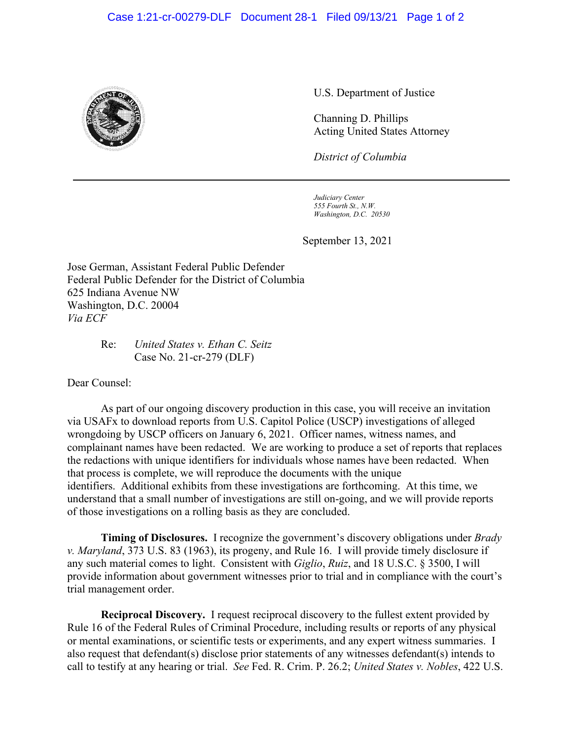

U.S. Department of Justice

Channing D. Phillips Acting United States Attorney

*District of Columbia*

*Judiciary Center 555 Fourth St., N.W. Washington, D.C. 20530*

September 13, 2021

Jose German, Assistant Federal Public Defender Federal Public Defender for the District of Columbia 625 Indiana Avenue NW Washington, D.C. 20004 *Via ECF*

## Re: *United States v. Ethan C. Seitz* Case No. 21-cr-279 (DLF)

Dear Counsel:

As part of our ongoing discovery production in this case, you will receive an invitation via USAFx to download reports from U.S. Capitol Police (USCP) investigations of alleged wrongdoing by USCP officers on January 6, 2021. Officer names, witness names, and complainant names have been redacted. We are working to produce a set of reports that replaces the redactions with unique identifiers for individuals whose names have been redacted. When that process is complete, we will reproduce the documents with the unique identifiers. Additional exhibits from these investigations are forthcoming. At this time, we understand that a small number of investigations are still on-going, and we will provide reports of those investigations on a rolling basis as they are concluded.

**Timing of Disclosures.** I recognize the government's discovery obligations under *Brady v. Maryland*, 373 U.S. 83 (1963), its progeny, and Rule 16. I will provide timely disclosure if any such material comes to light. Consistent with *Giglio*, *Ruiz*, and 18 U.S.C. § 3500, I will provide information about government witnesses prior to trial and in compliance with the court's trial management order.

**Reciprocal Discovery.** I request reciprocal discovery to the fullest extent provided by Rule 16 of the Federal Rules of Criminal Procedure, including results or reports of any physical or mental examinations, or scientific tests or experiments, and any expert witness summaries. I also request that defendant(s) disclose prior statements of any witnesses defendant(s) intends to call to testify at any hearing or trial. *See* Fed. R. Crim. P. 26.2; *United States v. Nobles*, 422 U.S.